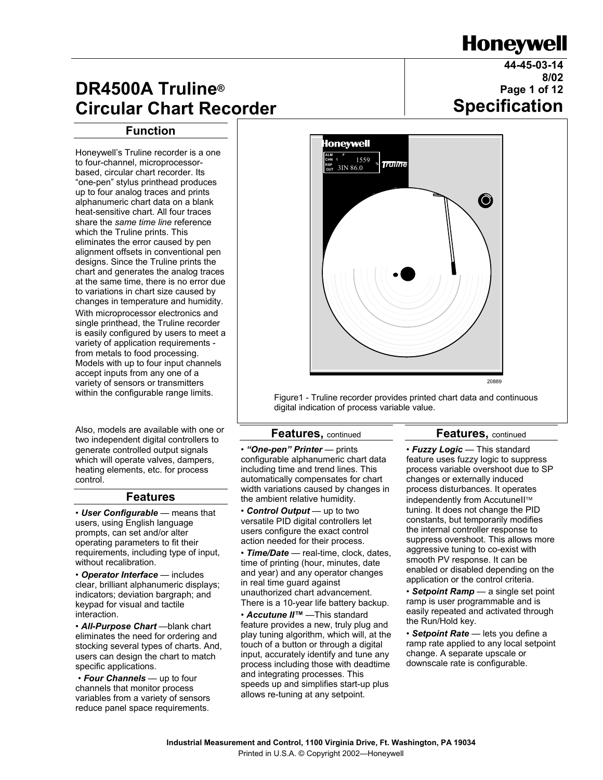# **Honeywell**

**44-45-03-14**

**8/02**

# **DR4500A Truline® Circular Chart Recorder**

#### **Function**

Honeywell's Truline recorder is a one to four-channel, microprocessorbased, circular chart recorder. Its "one-pen" stylus printhead produces up to four analog traces and prints alphanumeric chart data on a blank heat-sensitive chart. All four traces share the *same time line* reference which the Truline prints. This eliminates the error caused by pen alignment offsets in conventional pen designs. Since the Truline prints the chart and generates the analog traces at the same time, there is no error due to variations in chart size caused by changes in temperature and humidity. With microprocessor electronics and single printhead, the Truline recorder is easily configured by users to meet a variety of application requirements from metals to food processing. Models with up to four input channels accept inputs from any one of a variety of sensors or transmitters within the configurable range limits.

Also, models are available with one or two independent digital controllers to generate controlled output signals which will operate valves, dampers, heating elements, etc. for process control.

#### **Features**

• *User Configurable* — means that users, using English language prompts, can set and/or alter operating parameters to fit their requirements, including type of input, without recalibration.

• *Operator Interface* — includes clear, brilliant alphanumeric displays; indicators; deviation bargraph; and keypad for visual and tactile interaction.

• *All-Purpose Chart* —blank chart eliminates the need for ordering and stocking several types of charts. And, users can design the chart to match specific applications.

 • *Four Channels* — up to four channels that monitor process variables from a variety of sensors reduce panel space requirements.



Figure1 - Truline recorder provides printed chart data and continuous digital indication of process variable value.

#### **Features,** continued

#### **Features,** continued

• *"One-pen" Printer* — prints configurable alphanumeric chart data including time and trend lines. This automatically compensates for chart width variations caused by changes in the ambient relative humidity.

• *Control Output* — up to two versatile PID digital controllers let users configure the exact control action needed for their process.

• *Time/Date* — real-time, clock, dates, time of printing (hour, minutes, date and year) and any operator changes in real time guard against unauthorized chart advancement. There is a 10-year life battery backup.

• *Accutune II™* —This standard feature provides a new, truly plug and play tuning algorithm, which will, at the touch of a button or through a digital input, accurately identify and tune any process including those with deadtime and integrating processes. This speeds up and simplifies start-up plus allows re-tuning at any setpoint.

• *Fuzzy Logic* — This standard feature uses fuzzy logic to suppress process variable overshoot due to SP changes or externally induced process disturbances. It operates independently from AccutuneII™ tuning. It does not change the PID constants, but temporarily modifies the internal controller response to suppress overshoot. This allows more aggressive tuning to co-exist with smooth PV response. It can be enabled or disabled depending on the application or the control criteria.

• *Setpoint Ramp* — a single set point ramp is user programmable and is easily repeated and activated through the Run/Hold key.

• *Setpoint Rate* — lets you define a ramp rate applied to any local setpoint change. A separate upscale or downscale rate is configurable.

# **Page 1 of 12 Specification**

**Industrial Measurement and Control, 1100 Virginia Drive, Ft. Washington, PA 19034**  Printed in U.S.A. © Copyright 2002—Honeywell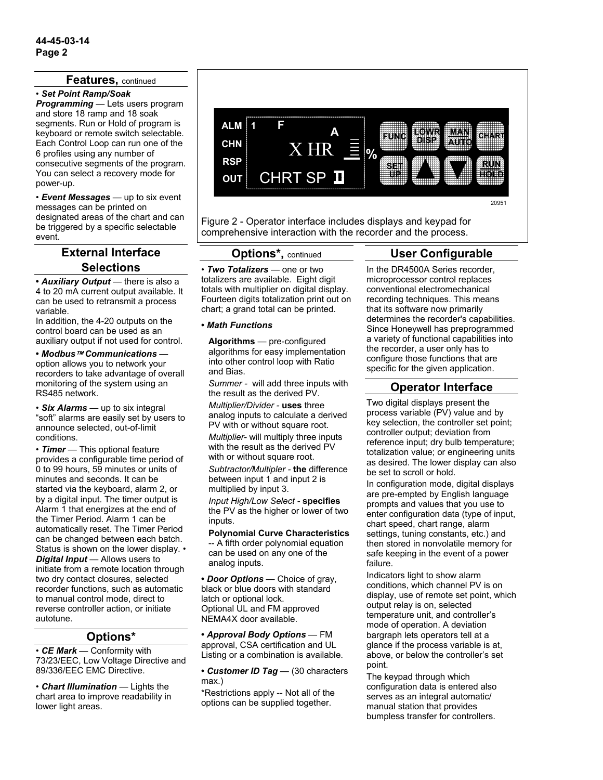#### **Features,** continued

#### • *Set Point Ramp/Soak*

*Programming* — Lets users program and store 18 ramp and 18 soak segments. Run or Hold of program is keyboard or remote switch selectable. Each Control Loop can run one of the 6 profiles using any number of consecutive segments of the program. You can select a recovery mode for power-up.

• *Event Messages* — up to six event messages can be printed on designated areas of the chart and can be triggered by a specific selectable event.

## **External Interface Selections**

**•** *Auxiliary Output* — there is also a 4 to 20 mA current output available. It can be used to retransmit a process variable.

In addition, the 4-20 outputs on the control board can be used as an auxiliary output if not used for control.

**•** *Modbus Communications* option allows you to network your recorders to take advantage of overall monitoring of the system using an RS485 network.

• *Six Alarms* — up to six integral "soft" alarms are easily set by users to announce selected, out-of-limit conditions.

• *Timer* — This optional feature provides a configurable time period of 0 to 99 hours, 59 minutes or units of minutes and seconds. It can be started via the keyboard, alarm 2, or by a digital input. The timer output is Alarm 1 that energizes at the end of the Timer Period. Alarm 1 can be automatically reset. The Timer Period can be changed between each batch. Status is shown on the lower display. • *Digital Input* — Allows users to initiate from a remote location through two dry contact closures, selected recorder functions, such as automatic to manual control mode, direct to reverse controller action, or initiate autotune.

#### **Options\***

• *CE Mark* — Conformity with 73/23/EEC, Low Voltage Directive and 89/336/EEC EMC Directive.

• *Chart Illumination* — Lights the chart area to improve readability in lower light areas.



Figure 2 - Operator interface includes displays and keypad for comprehensive interaction with the recorder and the process.

## **Options\*,** continued

• *Two Totalizers* — one or two totalizers are available. Eight digit totals with multiplier on digital display. Fourteen digits totalization print out on chart; a grand total can be printed.

#### **•** *Math Functions*

**Algorithms** — pre-configured algorithms for easy implementation into other control loop with Ratio and Bias.

*Summer -* will add three inputs with the result as the derived PV.

*Multiplier/Divider -* **uses** three analog inputs to calculate a derived PV with or without square root.

*Multiplier-* will multiply three inputs with the result as the derived PV with or without square root.

*Subtractor/Multipler -* **the** difference between input 1 and input 2 is multiplied by input 3.

*Input High/Low Select -* **specifies** the PV as the higher or lower of two inputs.

**Polynomial Curve Characteristics**  -- A fifth order polynomial equation can be used on any one of the analog inputs.

**•** *Door Options* — Choice of gray, black or blue doors with standard latch or optional lock. Optional UL and FM approved NEMA4X door available.

**•** *Approval Body Options* — FM approval, CSA certification and UL Listing or a combination is available.

**•** *Customer ID Tag* — (30 characters max.)

\*Restrictions apply -- Not all of the options can be supplied together.

# **User Configurable**

In the DR4500A Series recorder, microprocessor control replaces conventional electromechanical recording techniques. This means that its software now primarily determines the recorder's capabilities. Since Honeywell has preprogrammed a variety of functional capabilities into the recorder, a user only has to configure those functions that are specific for the given application.

## **Operator Interface**

Two digital displays present the process variable (PV) value and by key selection, the controller set point; controller output; deviation from reference input; dry bulb temperature; totalization value; or engineering units as desired. The lower display can also be set to scroll or hold.

In configuration mode, digital displays are pre-empted by English language prompts and values that you use to enter configuration data (type of input, chart speed, chart range, alarm settings, tuning constants, etc.) and then stored in nonvolatile memory for safe keeping in the event of a power failure.

Indicators light to show alarm conditions, which channel PV is on display, use of remote set point, which output relay is on, selected temperature unit, and controller's mode of operation. A deviation bargraph lets operators tell at a glance if the process variable is at, above, or below the controller's set point.

The keypad through which configuration data is entered also serves as an integral automatic/ manual station that provides bumpless transfer for controllers.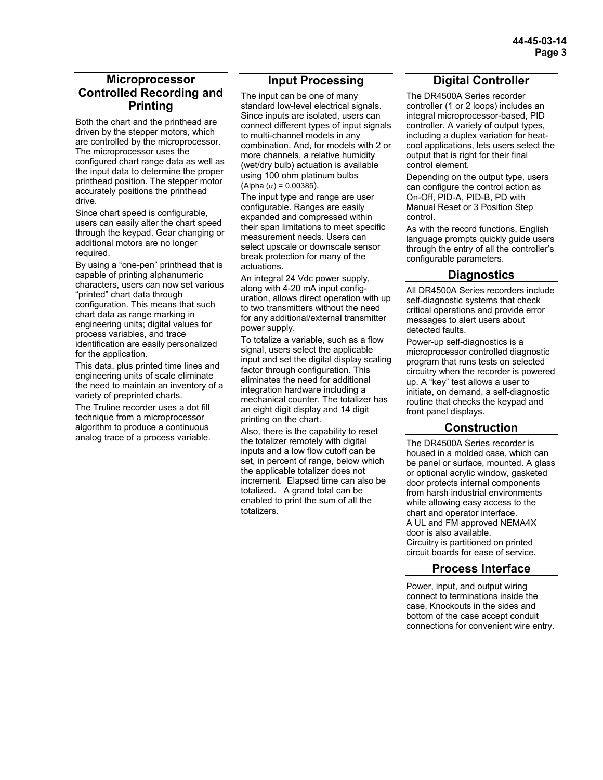#### **Microprocessor Controlled Recording and Printing**

Both the chart and the printhead are driven by the stepper motors, which are controlled by the microprocessor. The microprocessor uses the configured chart range data as well as the input data to determine the proper printhead position. The stepper motor accurately positions the printhead drive.

Since chart speed is configurable, users can easily alter the chart speed through the keypad. Gear changing or additional motors are no longer required.

By using a "one-pen" printhead that is capable of printing alphanumeric characters, users can now set various "printed" chart data through configuration. This means that such chart data as range marking in engineering units; digital values for process variables, and trace identification are easily personalized for the application.

This data, plus printed time lines and engineering units of scale eliminate the need to maintain an inventory of a variety of preprinted charts.

The Truline recorder uses a dot fill technique from a microprocessor algorithm to produce a continuous analog trace of a process variable.

## **Input Processing**

The input can be one of many standard low-level electrical signals. Since inputs are isolated, users can connect different types of input signals to multi-channel models in any combination. And, for models with 2 or more channels, a relative humidity (wet/dry bulb) actuation is available using 100 ohm platinum bulbs (Alpha ( $α$ ) = 0.00385).

The input type and range are user configurable. Ranges are easily expanded and compressed within their span limitations to meet specific measurement needs. Users can select upscale or downscale sensor break protection for many of the actuations.

An integral 24 Vdc power supply, along with 4-20 mA input configuration, allows direct operation with up to two transmitters without the need for any additional/external transmitter power supply.

To totalize a variable, such as a flow signal, users select the applicable input and set the digital display scaling factor through configuration. This eliminates the need for additional integration hardware including a mechanical counter. The totalizer has an eight digit display and 14 digit printing on the chart.

Also, there is the capability to reset the totalizer remotely with digital inputs and a low flow cutoff can be set, in percent of range, below which the applicable totalizer does not increment. Elapsed time can also be totalized. A grand total can be enabled to print the sum of all the totalizers.

# **Digital Controller**

The DR4500A Series recorder controller (1 or 2 loops) includes an integral microprocessor-based, PID controller. A variety of output types, including a duplex variation for heatcool applications, lets users select the output that is right for their final control element.

Depending on the output type, users can configure the control action as On-Off, PID-A, PID-B, PD with Manual Reset or 3 Position Step control.

As with the record functions, English language prompts quickly guide users through the entry of all the controller's configurable parameters.

### **Diagnostics**

All DR4500A Series recorders include self-diagnostic systems that check critical operations and provide error messages to alert users about detected faults.

Power-up self-diagnostics is a microprocessor controlled diagnostic program that runs tests on selected circuitry when the recorder is powered up. A "key" test allows a user to initiate, on demand, a self-diagnostic routine that checks the keypad and front panel displays.

### **Construction**

The DR4500A Series recorder is housed in a molded case, which can be panel or surface, mounted. A glass or optional acrylic window, gasketed door protects internal components from harsh industrial environments while allowing easy access to the chart and operator interface. A UL and FM approved NEMA4X door is also available. Circuitry is partitioned on printed circuit boards for ease of service.

#### **Process Interface**

Power, input, and output wiring connect to terminations inside the case. Knockouts in the sides and bottom of the case accept conduit connections for convenient wire entry.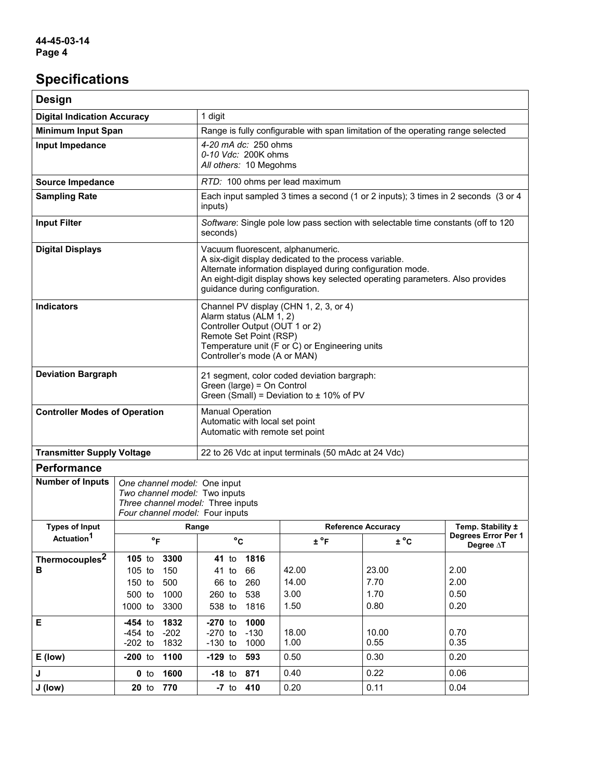# **Specifications**

| <b>Design</b>                                                                                                                        |                                                                                                                                                                                                                                                                              |                                                                                                                                                                                                                 |                                                                                   |                               |                                          |  |
|--------------------------------------------------------------------------------------------------------------------------------------|------------------------------------------------------------------------------------------------------------------------------------------------------------------------------------------------------------------------------------------------------------------------------|-----------------------------------------------------------------------------------------------------------------------------------------------------------------------------------------------------------------|-----------------------------------------------------------------------------------|-------------------------------|------------------------------------------|--|
| <b>Digital Indication Accuracy</b>                                                                                                   |                                                                                                                                                                                                                                                                              | 1 digit                                                                                                                                                                                                         |                                                                                   |                               |                                          |  |
| <b>Minimum Input Span</b>                                                                                                            |                                                                                                                                                                                                                                                                              |                                                                                                                                                                                                                 | Range is fully configurable with span limitation of the operating range selected  |                               |                                          |  |
| Input Impedance                                                                                                                      |                                                                                                                                                                                                                                                                              |                                                                                                                                                                                                                 | 4-20 mA dc: 250 ohms<br>0-10 Vdc: 200K ohms<br>All others: 10 Megohms             |                               |                                          |  |
| <b>Source Impedance</b>                                                                                                              |                                                                                                                                                                                                                                                                              | RTD: 100 ohms per lead maximum                                                                                                                                                                                  |                                                                                   |                               |                                          |  |
| <b>Sampling Rate</b>                                                                                                                 |                                                                                                                                                                                                                                                                              | inputs)                                                                                                                                                                                                         | Each input sampled 3 times a second (1 or 2 inputs); 3 times in 2 seconds (3 or 4 |                               |                                          |  |
| <b>Input Filter</b>                                                                                                                  |                                                                                                                                                                                                                                                                              | Software: Single pole low pass section with selectable time constants (off to 120<br>seconds)                                                                                                                   |                                                                                   |                               |                                          |  |
| <b>Digital Displays</b>                                                                                                              | Vacuum fluorescent, alphanumeric.<br>A six-digit display dedicated to the process variable.<br>Alternate information displayed during configuration mode.<br>An eight-digit display shows key selected operating parameters. Also provides<br>guidance during configuration. |                                                                                                                                                                                                                 |                                                                                   |                               |                                          |  |
| <b>Indicators</b>                                                                                                                    |                                                                                                                                                                                                                                                                              | Channel PV display (CHN 1, 2, 3, or 4)<br>Alarm status (ALM 1, 2)<br>Controller Output (OUT 1 or 2)<br>Remote Set Point (RSP)<br>Temperature unit (F or C) or Engineering units<br>Controller's mode (A or MAN) |                                                                                   |                               |                                          |  |
| <b>Deviation Bargraph</b>                                                                                                            |                                                                                                                                                                                                                                                                              | 21 segment, color coded deviation bargraph:<br>Green (large) = On Control<br>Green (Small) = Deviation to $\pm$ 10% of PV                                                                                       |                                                                                   |                               |                                          |  |
| <b>Manual Operation</b><br><b>Controller Modes of Operation</b><br>Automatic with local set point<br>Automatic with remote set point |                                                                                                                                                                                                                                                                              |                                                                                                                                                                                                                 |                                                                                   |                               |                                          |  |
| <b>Transmitter Supply Voltage</b><br>22 to 26 Vdc at input terminals (50 mAdc at 24 Vdc)                                             |                                                                                                                                                                                                                                                                              |                                                                                                                                                                                                                 |                                                                                   |                               |                                          |  |
| <b>Performance</b>                                                                                                                   |                                                                                                                                                                                                                                                                              |                                                                                                                                                                                                                 |                                                                                   |                               |                                          |  |
| <b>Number of Inputs</b>                                                                                                              | One channel model: One input<br>Two channel model: Two inputs<br>Three channel model: Three inputs<br>Four channel model: Four inputs                                                                                                                                        |                                                                                                                                                                                                                 |                                                                                   |                               |                                          |  |
| <b>Types of Input</b>                                                                                                                | Range<br><b>Reference Accuracy</b>                                                                                                                                                                                                                                           |                                                                                                                                                                                                                 |                                                                                   | Temp. Stability ±             |                                          |  |
| Actuation <sup>1</sup>                                                                                                               | $\,^{\circ}$ F                                                                                                                                                                                                                                                               | $^{\circ}$ C                                                                                                                                                                                                    | $\pm$ °F                                                                          | $\pm$ °C                      | Degrees Error Per 1<br>Degree $\Delta T$ |  |
| Thermocouples <sup>2</sup><br>в                                                                                                      | 3300<br>$105$ to<br>150<br>105 to<br>150 to<br>500<br>500 to<br>1000<br>1000 to<br>3300                                                                                                                                                                                      | 1816<br><b>41</b> to<br>66<br>41 to<br>66 to<br>260<br>260 to<br>538<br>538 to<br>1816                                                                                                                          | 42.00<br>14.00<br>3.00<br>1.50                                                    | 23.00<br>7.70<br>1.70<br>0.80 | 2.00<br>2.00<br>0.50<br>0.20             |  |
| Е                                                                                                                                    | $-454$ to<br>1832<br>$-454$ to<br>$-202$<br>$-202$ to<br>1832                                                                                                                                                                                                                | $-270$ to<br>1000<br>$-270$ to<br>$-130$<br>$-130$ to<br>1000                                                                                                                                                   | 18.00<br>1.00                                                                     | 10.00<br>0.55                 | 0.70<br>0.35                             |  |
| E (low)                                                                                                                              | $-200$ to<br>1100                                                                                                                                                                                                                                                            | $-129$ to<br>593                                                                                                                                                                                                | 0.50                                                                              | 0.30                          | 0.20                                     |  |
| J                                                                                                                                    | 1600<br>$0$ to                                                                                                                                                                                                                                                               | $-18$ to<br>871                                                                                                                                                                                                 | 0.40                                                                              | 0.22                          | 0.06                                     |  |
| J (low)                                                                                                                              | $20$ to<br>770                                                                                                                                                                                                                                                               | 410<br>$-7$ to                                                                                                                                                                                                  | 0.20                                                                              | 0.11                          | 0.04                                     |  |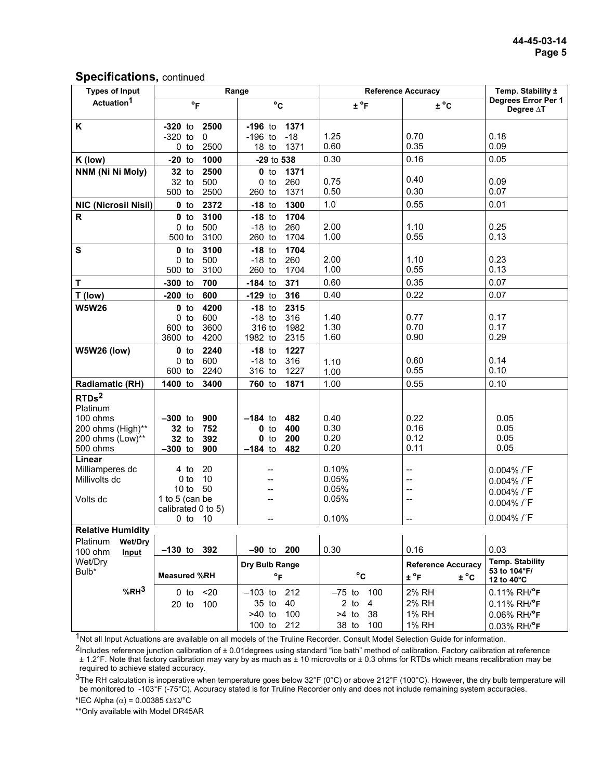| <b>Types of Input</b>        | Range                                |                                   | <b>Reference Accuracy</b> |                                                   | Temp. Stability ±                             |
|------------------------------|--------------------------------------|-----------------------------------|---------------------------|---------------------------------------------------|-----------------------------------------------|
| Actuation <sup>1</sup>       | $\circ$ F                            | $^{\circ}$ C                      | $\pm$ °F                  | $\pm$ °C                                          | Degrees Error Per 1<br>Degree AT              |
| K                            | 2500<br>$-320$ to                    | 1371<br>$-196$ to                 |                           |                                                   |                                               |
|                              | $-320$ to<br>$\mathbf 0$             | $-196$ to<br>$-18$                | 1.25                      | 0.70                                              | 0.18                                          |
|                              | $0$ to<br>2500                       | $18$ to<br>1371                   | 0.60                      | 0.35                                              | 0.09                                          |
| K (low)                      | 1000<br>$-20$ to                     | -29 to 538                        | 0.30                      | 0.16                                              | 0.05                                          |
| NNM (Ni Ni Moly)             | 2500<br>$32$ to                      | $0$ to<br>1371                    |                           | 0.40                                              |                                               |
|                              | 32 to<br>500<br>500 to<br>2500       | 260<br>$0$ to<br>1371<br>260 to   | 0.75<br>0.50              | 0.30                                              | 0.09<br>0.07                                  |
| <b>NIC (Nicrosil Nisil)</b>  | $0$ to<br>2372                       | $-18$ to<br>1300                  | 1.0                       | 0.55                                              | 0.01                                          |
| R                            | 3100<br>$0$ to                       | $-18$ to<br>1704                  |                           |                                                   |                                               |
|                              | $0$ to<br>500                        | $-18$ to<br>260                   | 2.00                      | 1.10                                              | 0.25                                          |
|                              | 3100<br>500 to                       | 260 to<br>1704                    | 1.00                      | 0.55                                              | 0.13                                          |
| $\mathbf{s}$                 | 3100<br>$0$ to                       | $-18$ to<br>1704                  |                           |                                                   |                                               |
|                              | 500<br>$0$ to                        | $-18$ to<br>260                   | 2.00                      | 1.10                                              | 0.23                                          |
|                              | 500 to<br>3100                       | 260 to<br>1704                    | 1.00                      | 0.55                                              | 0.13                                          |
| T                            | $-300$ to<br>700                     | $-184$ to<br>371                  | 0.60                      | 0.35                                              | 0.07                                          |
| T (low)                      | $-200$ to<br>600                     | $-129$ to<br>316                  | 0.40                      | 0.22                                              | 0.07                                          |
| <b>W5W26</b>                 | $0$ to<br>4200                       | $-18$ to<br>2315                  |                           |                                                   |                                               |
|                              | 600<br>$0$ to                        | $-18$ to<br>316                   | 1.40<br>1.30              | 0.77<br>0.70                                      | 0.17<br>0.17                                  |
|                              | 3600<br>600 to<br>3600 to<br>4200    | 316 to<br>1982<br>1982 to<br>2315 | 1.60                      | 0.90                                              | 0.29                                          |
| <b>W5W26 (low)</b>           | 2240<br>$0$ to                       | $-18$ to<br>1227                  |                           |                                                   |                                               |
|                              | 600<br>$0$ to                        | $-18$ to<br>316                   | 1.10                      | 0.60                                              | 0.14                                          |
|                              | 600 to<br>2240                       | 316 to<br>1227                    | 1.00                      | 0.55                                              | 0.10                                          |
| <b>Radiamatic (RH)</b>       | 3400<br>1400 to                      | 760 to<br>1871                    | 1.00                      | 0.55                                              | 0.10                                          |
| RTDs <sup>2</sup>            |                                      |                                   |                           |                                                   |                                               |
| Platinum                     |                                      |                                   |                           |                                                   |                                               |
| 100 ohms                     | $-300$ to<br>900                     | $-184$ to<br>482                  | 0.40                      | 0.22                                              | 0.05                                          |
| 200 ohms (High)**            | 752<br><b>32</b> to                  | $\mathbf 0$ to<br>400             | 0.30<br>0.20              | 0.16<br>0.12                                      | 0.05                                          |
| 200 ohms (Low)**<br>500 ohms | $32$ to<br>392<br>$-300$ to<br>900   | $0$ to<br>200<br>$-184$ to<br>482 | 0.20                      | 0.11                                              | 0.05<br>0.05                                  |
| Linear                       |                                      |                                   |                           |                                                   |                                               |
| Milliamperes dc              | 20<br>4 to                           |                                   | 0.10%                     | $\overline{\phantom{a}}$                          | 0.004% /°F                                    |
| Millivolts dc                | 10<br>0 <sub>to</sub>                |                                   | 0.05%                     | $-$                                               | 0.004% /°F                                    |
|                              | 10 to<br>50                          |                                   | 0.05%                     | $\overline{\phantom{a}}$                          | 0.004% /°F                                    |
| Volts dc                     | 1 to 5 (can be<br>calibrated 0 to 5) |                                   | 0.05%                     | $-$                                               | 0.004% /°F                                    |
|                              | $0$ to $10$                          | --                                | 0.10%                     | $\overline{\phantom{a}}$                          | 0.004% /°F                                    |
| <b>Relative Humidity</b>     |                                      |                                   |                           |                                                   |                                               |
| Platinum<br>Wet/Dry          |                                      |                                   |                           |                                                   |                                               |
| 100 ohm<br>Input             | $-130$ to $392$                      | $-90$ to $200$                    | 0.30                      | 0.16                                              | 0.03                                          |
| Wet/Dry<br>Bulb*             | <b>Measured %RH</b>                  | Dry Bulb Range<br>$\circ$ F       | $^{\circ}{\rm c}$         | <b>Reference Accuracv</b><br>$\pm$ °F<br>$\pm$ °C | Temp. Stability<br>53 to 104°F/<br>12 to 40°C |
| %RH <sup>3</sup>             | $20$<br>0 <sub>to</sub>              | $-103$ to<br>212                  | $-75$ to<br>100           | 2% RH                                             | $0.11\%$ RH/ $\degree$ F                      |
|                              | $20$ to<br>100                       | 40<br>35 to                       | $2$ to<br>$\overline{4}$  | 2% RH                                             | $0.11\%$ RH/ $\degree$ F                      |
|                              |                                      | $>40$ to<br>100                   | $>4$ to<br>38             | 1% RH                                             | 0.06% RH/°F                                   |
|                              |                                      | $100$ to<br>212                   | 38 to<br>100              | <b>1% RH</b>                                      | 0.03% RH/°F                                   |

<sup>1</sup>Not all Input Actuations are available on all models of the Truline Recorder. Consult Model Selection Guide for information.

 $2$ Includes reference junction calibration of  $\pm$  0.01degrees using standard "ice bath" method of calibration. Factory calibration at reference ± 1.2°F. Note that factory calibration may vary by as much as ± 10 microvolts or ± 0.3 ohms for RTDs which means recalibration may be required to achieve stated accuracy.

 $3$ The RH calculation is inoperative when temperature goes below 32°F (0°C) or above 212°F (100°C). However, the dry bulb temperature will be monitored to -103°F (-75°C). Accuracy stated is for Truline Recorder only and does not include remaining system accuracies.

\*IEC Alpha (α) = 0.00385 Ω/Ω/°C

\*\*Only available with Model DR45AR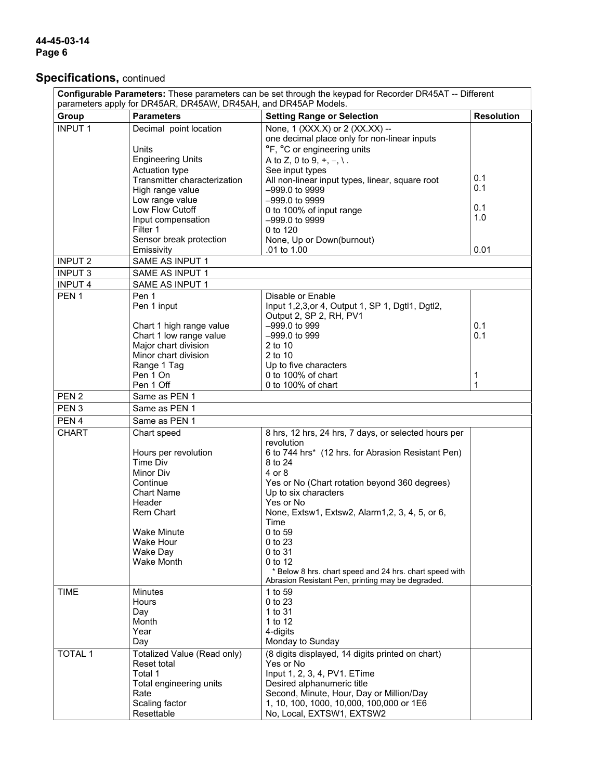## **44-45-03-14 Page 6**

# **Specifications,** continued

| Configurable Parameters: These parameters can be set through the keypad for Recorder DR45AT -- Different<br>parameters apply for DR45AR, DR45AW, DR45AH, and DR45AP Models. |                                                                                                                          |                                                                                                                                                                                                                                                                                                |                   |
|-----------------------------------------------------------------------------------------------------------------------------------------------------------------------------|--------------------------------------------------------------------------------------------------------------------------|------------------------------------------------------------------------------------------------------------------------------------------------------------------------------------------------------------------------------------------------------------------------------------------------|-------------------|
| Group                                                                                                                                                                       | <b>Parameters</b>                                                                                                        | <b>Setting Range or Selection</b>                                                                                                                                                                                                                                                              | <b>Resolution</b> |
| <b>INPUT 1</b>                                                                                                                                                              | Decimal point location<br>Units                                                                                          | None, 1 (XXX.X) or 2 (XX.XX) --<br>one decimal place only for non-linear inputs<br>°F, °C or engineering units                                                                                                                                                                                 |                   |
|                                                                                                                                                                             | <b>Engineering Units</b><br>Actuation type<br>Transmitter characterization<br>High range value                           | A to Z, 0 to 9, $+, -, \$<br>See input types<br>All non-linear input types, linear, square root<br>-999.0 to 9999                                                                                                                                                                              | 0.1<br>0.1        |
|                                                                                                                                                                             | Low range value<br>Low Flow Cutoff<br>Input compensation<br>Filter 1                                                     | -999.0 to 9999<br>0 to 100% of input range<br>-999.0 to 9999<br>0 to 120                                                                                                                                                                                                                       | 0.1<br>1.0        |
|                                                                                                                                                                             | Sensor break protection<br>Emissivity                                                                                    | None, Up or Down(burnout)<br>.01 to 1.00                                                                                                                                                                                                                                                       | 0.01              |
| <b>INPUT 2</b>                                                                                                                                                              | SAME AS INPUT 1                                                                                                          |                                                                                                                                                                                                                                                                                                |                   |
| <b>INPUT 3</b>                                                                                                                                                              | SAME AS INPUT 1                                                                                                          |                                                                                                                                                                                                                                                                                                |                   |
| <b>INPUT 4</b>                                                                                                                                                              | SAME AS INPUT 1                                                                                                          |                                                                                                                                                                                                                                                                                                |                   |
| PEN <sub>1</sub>                                                                                                                                                            | Pen 1<br>Pen 1 input                                                                                                     | Disable or Enable<br>Input 1,2,3, or 4, Output 1, SP 1, Dgtl1, Dgtl2,<br>Output 2, SP 2, RH, PV1                                                                                                                                                                                               |                   |
|                                                                                                                                                                             | Chart 1 high range value<br>Chart 1 low range value<br>Major chart division<br>Minor chart division                      | -999.0 to 999<br>-999.0 to 999<br>2 to 10<br>2 to 10                                                                                                                                                                                                                                           | 0.1<br>0.1        |
|                                                                                                                                                                             | Range 1 Tag<br>Pen 1 On<br>Pen 1 Off                                                                                     | Up to five characters<br>0 to 100% of chart<br>0 to 100% of chart                                                                                                                                                                                                                              | 1<br>1            |
| PEN <sub>2</sub>                                                                                                                                                            | Same as PEN 1                                                                                                            |                                                                                                                                                                                                                                                                                                |                   |
| PEN <sub>3</sub>                                                                                                                                                            | Same as PEN 1                                                                                                            |                                                                                                                                                                                                                                                                                                |                   |
| PEN <sub>4</sub>                                                                                                                                                            | Same as PEN 1                                                                                                            |                                                                                                                                                                                                                                                                                                |                   |
| <b>CHART</b>                                                                                                                                                                | Chart speed<br>Hours per revolution<br>Time Div<br>Minor Div<br>Continue<br><b>Chart Name</b><br>Header<br>Rem Chart     | 8 hrs, 12 hrs, 24 hrs, 7 days, or selected hours per<br>revolution<br>6 to 744 hrs* (12 hrs. for Abrasion Resistant Pen)<br>8 to 24<br>4 or 8<br>Yes or No (Chart rotation beyond 360 degrees)<br>Up to six characters<br>Yes or No<br>None, Extsw1, Extsw2, Alarm1, 2, 3, 4, 5, or 6,<br>Time |                   |
|                                                                                                                                                                             | <b>Wake Minute</b><br>Wake Hour<br>Wake Day<br>Wake Month                                                                | 0 to 59<br>0 to 23<br>0 to 31<br>0 to 12<br>* Below 8 hrs. chart speed and 24 hrs. chart speed with<br>Abrasion Resistant Pen, printing may be degraded.                                                                                                                                       |                   |
| <b>TIME</b>                                                                                                                                                                 | <b>Minutes</b><br>Hours<br>Day<br>Month<br>Year<br>Day                                                                   | 1 to 59<br>0 to 23<br>1 to 31<br>1 to 12<br>4-digits<br>Monday to Sunday                                                                                                                                                                                                                       |                   |
| <b>TOTAL 1</b>                                                                                                                                                              | Totalized Value (Read only)<br>Reset total<br>Total 1<br>Total engineering units<br>Rate<br>Scaling factor<br>Resettable | (8 digits displayed, 14 digits printed on chart)<br>Yes or No<br>Input 1, 2, 3, 4, PV1. ETime<br>Desired alphanumeric title<br>Second, Minute, Hour, Day or Million/Day<br>1, 10, 100, 1000, 10,000, 100,000 or 1E6<br>No, Local, EXTSW1, EXTSW2                                               |                   |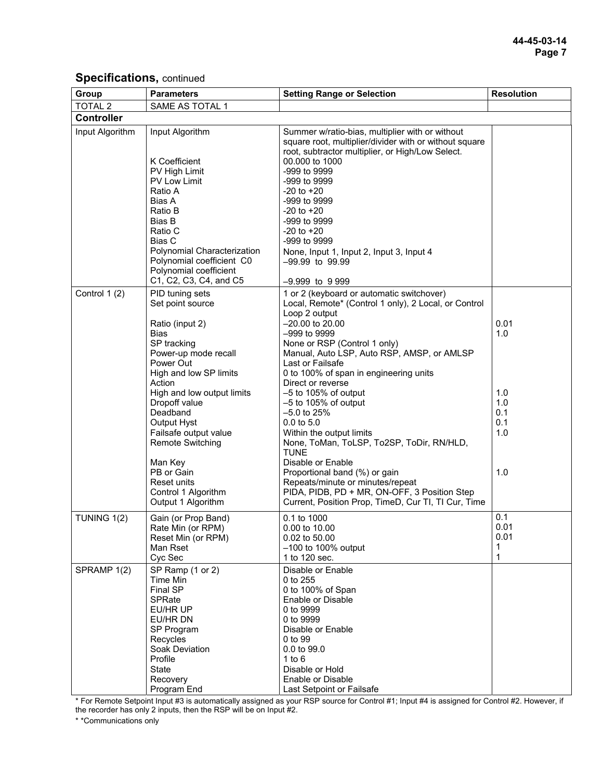| Group             | <b>Parameters</b>                                                                                                                                                                                                                                                                                                                                                                | <b>Setting Range or Selection</b>                                                                                                                                                                                                                                                                                                                                                                                                                                                                                                                                                                                                                                                                      | <b>Resolution</b>                                     |
|-------------------|----------------------------------------------------------------------------------------------------------------------------------------------------------------------------------------------------------------------------------------------------------------------------------------------------------------------------------------------------------------------------------|--------------------------------------------------------------------------------------------------------------------------------------------------------------------------------------------------------------------------------------------------------------------------------------------------------------------------------------------------------------------------------------------------------------------------------------------------------------------------------------------------------------------------------------------------------------------------------------------------------------------------------------------------------------------------------------------------------|-------------------------------------------------------|
| <b>TOTAL 2</b>    | SAME AS TOTAL 1                                                                                                                                                                                                                                                                                                                                                                  |                                                                                                                                                                                                                                                                                                                                                                                                                                                                                                                                                                                                                                                                                                        |                                                       |
| <b>Controller</b> |                                                                                                                                                                                                                                                                                                                                                                                  |                                                                                                                                                                                                                                                                                                                                                                                                                                                                                                                                                                                                                                                                                                        |                                                       |
| Input Algorithm   | Input Algorithm<br>K Coefficient<br>PV High Limit<br>PV Low Limit<br>Ratio A<br>Bias A<br>Ratio B<br>Bias B<br>Ratio C<br><b>Bias C</b><br>Polynomial Characterization<br>Polynomial coefficient C0<br>Polynomial coefficient<br>C1, C2, C3, C4, and C5                                                                                                                          | Summer w/ratio-bias, multiplier with or without<br>square root, multiplier/divider with or without square<br>root, subtractor multiplier, or High/Low Select.<br>00.000 to 1000<br>-999 to 9999<br>-999 to 9999<br>$-20$ to $+20$<br>-999 to 9999<br>$-20$ to $+20$<br>-999 to 9999<br>$-20$ to $+20$<br>-999 to 9999<br>None, Input 1, Input 2, Input 3, Input 4<br>-99.99 to 99.99<br>$-9.999$ to 9 999                                                                                                                                                                                                                                                                                              |                                                       |
| Control 1 (2)     | PID tuning sets<br>Set point source<br>Ratio (input 2)<br><b>Bias</b><br>SP tracking<br>Power-up mode recall<br>Power Out<br>High and low SP limits<br>Action<br>High and low output limits<br>Dropoff value<br>Deadband<br>Output Hyst<br>Failsafe output value<br><b>Remote Switching</b><br>Man Key<br>PB or Gain<br>Reset units<br>Control 1 Algorithm<br>Output 1 Algorithm | 1 or 2 (keyboard or automatic switchover)<br>Local, Remote* (Control 1 only), 2 Local, or Control<br>Loop 2 output<br>$-20.00$ to 20.00<br>$-999$ to 9999<br>None or RSP (Control 1 only)<br>Manual, Auto LSP, Auto RSP, AMSP, or AMLSP<br>Last or Failsafe<br>0 to 100% of span in engineering units<br>Direct or reverse<br>$-5$ to 105% of output<br>$-5$ to 105% of output<br>$-5.0$ to 25%<br>0.0 to 5.0<br>Within the output limits<br>None, ToMan, ToLSP, To2SP, ToDir, RN/HLD,<br><b>TUNE</b><br>Disable or Enable<br>Proportional band (%) or gain<br>Repeats/minute or minutes/repeat<br>PIDA, PIDB, PD + MR, ON-OFF, 3 Position Step<br>Current, Position Prop, TimeD, Cur TI, TI Cur, Time | 0.01<br>1.0<br>1.0<br>1.0<br>0.1<br>0.1<br>1.0<br>1.0 |
| TUNING 1(2)       | Gain (or Prop Band)<br>Rate Min (or RPM)<br>Reset Min (or RPM)<br>Man Rset<br>Cyc Sec                                                                                                                                                                                                                                                                                            | 0.1 to 1000<br>0.00 to 10.00<br>0.02 to 50.00<br>$-100$ to 100% output<br>1 to 120 sec.                                                                                                                                                                                                                                                                                                                                                                                                                                                                                                                                                                                                                | 0.1<br>0.01<br>0.01<br>1<br>1                         |
| SPRAMP 1(2)       | SP Ramp (1 or 2)<br>Time Min<br>Final SP<br>SPRate<br>EU/HR UP<br>EU/HR DN<br>SP Program<br>Recycles<br>Soak Deviation<br>Profile<br>State<br>Recovery<br>Program End                                                                                                                                                                                                            | Disable or Enable<br>0 to 255<br>0 to 100% of Span<br>Enable or Disable<br>0 to 9999<br>0 to 9999<br>Disable or Enable<br>0 to 99<br>0.0 to 99.0<br>1 to $6$<br>Disable or Hold<br>Enable or Disable<br>Last Setpoint or Failsafe                                                                                                                                                                                                                                                                                                                                                                                                                                                                      |                                                       |

\* For Remote Setpoint Input #3 is automatically assigned as your RSP source for Control #1; Input #4 is assigned for Control #2. However, if the recorder has only 2 inputs, then the RSP will be on Input #2.

\* \*Communications only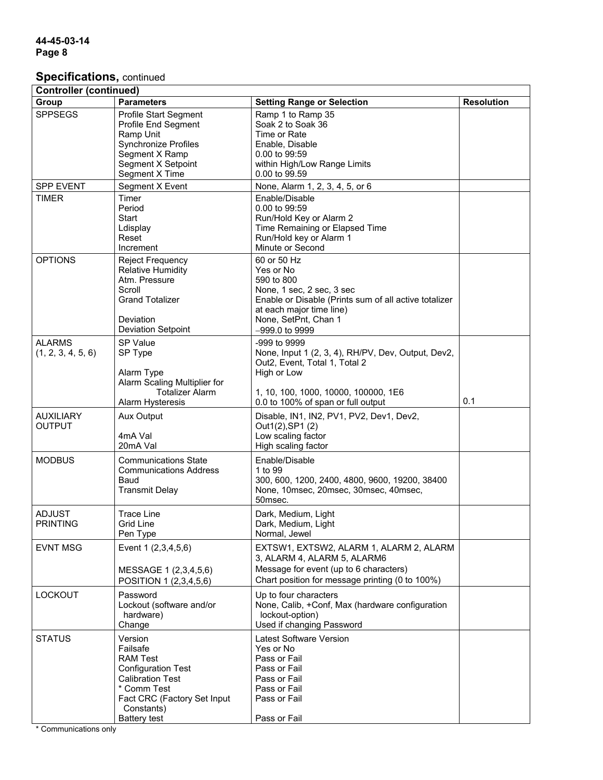| <b>Controller (continued)</b> |                               |                                                       |                   |  |  |
|-------------------------------|-------------------------------|-------------------------------------------------------|-------------------|--|--|
| Group                         | <b>Parameters</b>             | <b>Setting Range or Selection</b>                     | <b>Resolution</b> |  |  |
| <b>SPPSEGS</b>                | Profile Start Segment         | Ramp 1 to Ramp 35                                     |                   |  |  |
|                               | Profile End Segment           | Soak 2 to Soak 36                                     |                   |  |  |
|                               | Ramp Unit                     | Time or Rate                                          |                   |  |  |
|                               | <b>Synchronize Profiles</b>   | Enable, Disable                                       |                   |  |  |
|                               | Segment X Ramp                | 0.00 to 99:59                                         |                   |  |  |
|                               | Segment X Setpoint            | within High/Low Range Limits                          |                   |  |  |
|                               | Segment X Time                | 0.00 to 99.59                                         |                   |  |  |
| <b>SPP EVENT</b>              | Segment X Event               | None, Alarm 1, 2, 3, 4, 5, or 6                       |                   |  |  |
| <b>TIMER</b>                  | Timer                         | Enable/Disable                                        |                   |  |  |
|                               | Period                        | 0.00 to 99:59                                         |                   |  |  |
|                               | Start                         | Run/Hold Key or Alarm 2                               |                   |  |  |
|                               | Ldisplay                      | Time Remaining or Elapsed Time                        |                   |  |  |
|                               | Reset                         | Run/Hold key or Alarm 1                               |                   |  |  |
|                               | Increment                     | Minute or Second                                      |                   |  |  |
| <b>OPTIONS</b>                | <b>Reject Frequency</b>       | 60 or 50 Hz                                           |                   |  |  |
|                               | <b>Relative Humidity</b>      | Yes or No                                             |                   |  |  |
|                               | Atm. Pressure                 | 590 to 800                                            |                   |  |  |
|                               | Scroll                        | None, 1 sec, 2 sec, 3 sec                             |                   |  |  |
|                               | <b>Grand Totalizer</b>        | Enable or Disable (Prints sum of all active totalizer |                   |  |  |
|                               |                               | at each major time line)                              |                   |  |  |
|                               | Deviation                     | None, SetPnt, Chan 1                                  |                   |  |  |
|                               | <b>Deviation Setpoint</b>     | $-999.0$ to 9999                                      |                   |  |  |
|                               |                               |                                                       |                   |  |  |
| <b>ALARMS</b>                 | SP Value                      | -999 to 9999                                          |                   |  |  |
| (1, 2, 3, 4, 5, 6)            | SP Type                       | None, Input 1 (2, 3, 4), RH/PV, Dev, Output, Dev2,    |                   |  |  |
|                               |                               | Out2, Event, Total 1, Total 2                         |                   |  |  |
|                               | Alarm Type                    | High or Low                                           |                   |  |  |
|                               | Alarm Scaling Multiplier for  |                                                       |                   |  |  |
|                               | <b>Totalizer Alarm</b>        | 1, 10, 100, 1000, 10000, 100000, 1E6                  | 0.1               |  |  |
|                               | Alarm Hysteresis              | 0.0 to 100% of span or full output                    |                   |  |  |
| <b>AUXILIARY</b>              | <b>Aux Output</b>             | Disable, IN1, IN2, PV1, PV2, Dev1, Dev2,              |                   |  |  |
| <b>OUTPUT</b>                 |                               | Out1(2), SP1 (2)                                      |                   |  |  |
|                               | 4mA Val                       | Low scaling factor                                    |                   |  |  |
|                               | 20mA Val                      | High scaling factor                                   |                   |  |  |
| <b>MODBUS</b>                 | <b>Communications State</b>   | Enable/Disable                                        |                   |  |  |
|                               | <b>Communications Address</b> | 1 to 99                                               |                   |  |  |
|                               | Baud                          | 300, 600, 1200, 2400, 4800, 9600, 19200, 38400        |                   |  |  |
|                               | <b>Transmit Delay</b>         | None, 10msec, 20msec, 30msec, 40msec,                 |                   |  |  |
|                               |                               | 50msec.                                               |                   |  |  |
| <b>ADJUST</b>                 | <b>Trace Line</b>             | Dark, Medium, Light                                   |                   |  |  |
| <b>PRINTING</b>               | Grid Line                     | Dark, Medium, Light                                   |                   |  |  |
|                               | Pen Type                      | Normal, Jewel                                         |                   |  |  |
|                               |                               |                                                       |                   |  |  |
| <b>EVNT MSG</b>               | Event 1 (2,3,4,5,6)           | EXTSW1, EXTSW2, ALARM 1, ALARM 2, ALARM               |                   |  |  |
|                               |                               | 3, ALARM 4, ALARM 5, ALARM6                           |                   |  |  |
|                               | MESSAGE 1 (2,3,4,5,6)         | Message for event (up to 6 characters)                |                   |  |  |
|                               | POSITION 1 (2,3,4,5,6)        | Chart position for message printing (0 to 100%)       |                   |  |  |
| LOCKOUT                       | Password                      | Up to four characters                                 |                   |  |  |
|                               | Lockout (software and/or      | None, Calib, +Conf, Max (hardware configuration       |                   |  |  |
|                               | hardware)                     | lockout-option)                                       |                   |  |  |
|                               | Change                        | Used if changing Password                             |                   |  |  |
| <b>STATUS</b>                 | Version                       | Latest Software Version                               |                   |  |  |
|                               | Failsafe                      | Yes or No                                             |                   |  |  |
|                               | <b>RAM Test</b>               | Pass or Fail                                          |                   |  |  |
|                               | <b>Configuration Test</b>     | Pass or Fail                                          |                   |  |  |
|                               | <b>Calibration Test</b>       | Pass or Fail                                          |                   |  |  |
|                               | * Comm Test                   | Pass or Fail                                          |                   |  |  |
|                               | Fact CRC (Factory Set Input   | Pass or Fail                                          |                   |  |  |
|                               | Constants)                    |                                                       |                   |  |  |
|                               | <b>Battery test</b>           | Pass or Fail                                          |                   |  |  |
|                               |                               |                                                       |                   |  |  |

\* Communications only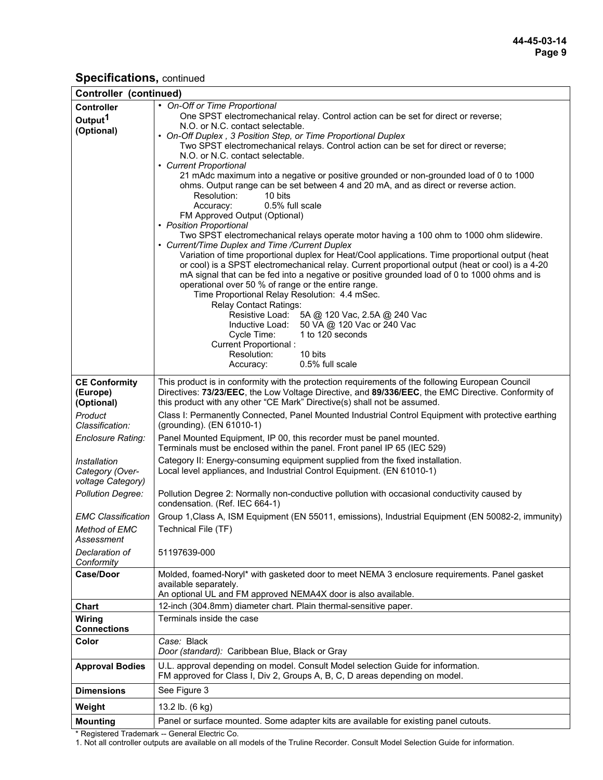| Controller (continued)    |                                                                                                                         |
|---------------------------|-------------------------------------------------------------------------------------------------------------------------|
| <b>Controller</b>         | • On-Off or Time Proportional                                                                                           |
| Output <sup>1</sup>       | One SPST electromechanical relay. Control action can be set for direct or reverse;                                      |
| (Optional)                | N.O. or N.C. contact selectable.                                                                                        |
|                           | • On-Off Duplex, 3 Position Step, or Time Proportional Duplex                                                           |
|                           | Two SPST electromechanical relays. Control action can be set for direct or reverse;<br>N.O. or N.C. contact selectable. |
|                           | • Current Proportional                                                                                                  |
|                           | 21 mAdc maximum into a negative or positive grounded or non-grounded load of 0 to 1000                                  |
|                           | ohms. Output range can be set between 4 and 20 mA, and as direct or reverse action.                                     |
|                           | Resolution:<br>10 bits                                                                                                  |
|                           | 0.5% full scale<br>Accuracy:                                                                                            |
|                           | FM Approved Output (Optional)                                                                                           |
|                           | • Position Proportional<br>Two SPST electromechanical relays operate motor having a 100 ohm to 1000 ohm slidewire.      |
|                           | • Current/Time Duplex and Time /Current Duplex                                                                          |
|                           | Variation of time proportional duplex for Heat/Cool applications. Time proportional output (heat                        |
|                           | or cool) is a SPST electromechanical relay. Current proportional output (heat or cool) is a 4-20                        |
|                           | mA signal that can be fed into a negative or positive grounded load of 0 to 1000 ohms and is                            |
|                           | operational over 50 % of range or the entire range.                                                                     |
|                           | Time Proportional Relay Resolution: 4.4 mSec.                                                                           |
|                           | <b>Relay Contact Ratings:</b><br>Resistive Load: 5A @ 120 Vac, 2.5A @ 240 Vac                                           |
|                           | Inductive Load:<br>50 VA @ 120 Vac or 240 Vac                                                                           |
|                           | 1 to 120 seconds<br>Cycle Time:                                                                                         |
|                           | Current Proportional:                                                                                                   |
|                           | 10 bits<br>Resolution:                                                                                                  |
|                           | 0.5% full scale<br>Accuracy:                                                                                            |
| <b>CE Conformity</b>      | This product is in conformity with the protection requirements of the following European Council                        |
| (Europe)                  | Directives: 73/23/EEC, the Low Voltage Directive, and 89/336/EEC, the EMC Directive. Conformity of                      |
| (Optional)                | this product with any other "CE Mark" Directive(s) shall not be assumed.                                                |
| Product                   | Class I: Permanently Connected, Panel Mounted Industrial Control Equipment with protective earthing                     |
| Classification:           | (grounding). (EN 61010-1)                                                                                               |
| Enclosure Rating:         | Panel Mounted Equipment, IP 00, this recorder must be panel mounted.                                                    |
|                           | Terminals must be enclosed within the panel. Front panel IP 65 (IEC 529)                                                |
| Installation              | Category II: Energy-consuming equipment supplied from the fixed installation.                                           |
| Category (Over-           | Local level appliances, and Industrial Control Equipment. (EN 61010-1)                                                  |
| voltage Category)         |                                                                                                                         |
| <b>Pollution Degree:</b>  | Pollution Degree 2: Normally non-conductive pollution with occasional conductivity caused by                            |
|                           | condensation. (Ref. IEC 664-1)                                                                                          |
| <b>EMC Classification</b> | Group 1, Class A, ISM Equipment (EN 55011, emissions), Industrial Equipment (EN 50082-2, immunity)                      |
| <b>Method of EMC</b>      | Technical File (TF)                                                                                                     |
| Assessment                |                                                                                                                         |
| Declaration of            | 51197639-000                                                                                                            |
| Conformity                |                                                                                                                         |
| <b>Case/Door</b>          | Molded, foamed-Noryl* with gasketed door to meet NEMA 3 enclosure requirements. Panel gasket                            |
|                           | available separately.                                                                                                   |
|                           | An optional UL and FM approved NEMA4X door is also available.                                                           |
| Chart                     | 12-inch (304.8mm) diameter chart. Plain thermal-sensitive paper.                                                        |
| Wiring                    | Terminals inside the case                                                                                               |
| <b>Connections</b>        |                                                                                                                         |
| Color                     | Case: Black                                                                                                             |
|                           | Door (standard): Caribbean Blue, Black or Gray                                                                          |
| <b>Approval Bodies</b>    | U.L. approval depending on model. Consult Model selection Guide for information.                                        |
|                           | FM approved for Class I, Div 2, Groups A, B, C, D areas depending on model.                                             |
| <b>Dimensions</b>         | See Figure 3                                                                                                            |
| Weight                    | 13.2 lb. (6 kg)                                                                                                         |
| <b>Mounting</b>           | Panel or surface mounted. Some adapter kits are available for existing panel cutouts.                                   |
|                           |                                                                                                                         |

\* Registered Trademark -- General Electric Co.

1. Not all controller outputs are available on all models of the Truline Recorder. Consult Model Selection Guide for information.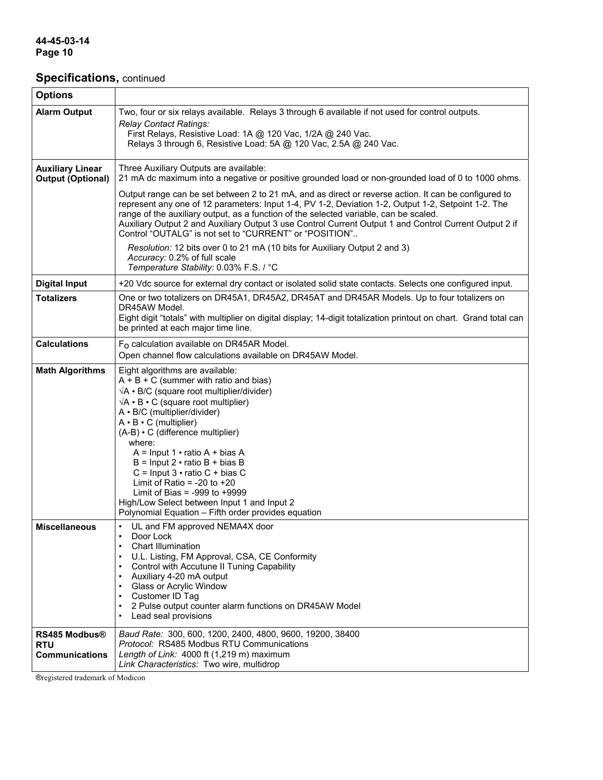| <b>Options</b>                                              |                                                                                                                                                                                                                                                                                                                                                                                                                                                                                                                                                                                                                |
|-------------------------------------------------------------|----------------------------------------------------------------------------------------------------------------------------------------------------------------------------------------------------------------------------------------------------------------------------------------------------------------------------------------------------------------------------------------------------------------------------------------------------------------------------------------------------------------------------------------------------------------------------------------------------------------|
| <b>Alarm Output</b>                                         | Two, four or six relays available. Relays 3 through 6 available if not used for control outputs.                                                                                                                                                                                                                                                                                                                                                                                                                                                                                                               |
|                                                             | Relay Contact Ratings:<br>First Relays, Resistive Load: 1A @ 120 Vac, 1/2A @ 240 Vac.<br>Relays 3 through 6, Resistive Load: 5A @ 120 Vac, 2.5A @ 240 Vac.                                                                                                                                                                                                                                                                                                                                                                                                                                                     |
| <b>Auxiliary Linear</b><br><b>Output (Optional)</b>         | Three Auxiliary Outputs are available:<br>21 mA dc maximum into a negative or positive grounded load or non-grounded load of 0 to 1000 ohms.                                                                                                                                                                                                                                                                                                                                                                                                                                                                   |
|                                                             | Output range can be set between 2 to 21 mA, and as direct or reverse action. It can be configured to<br>represent any one of 12 parameters: Input 1-4, PV 1-2, Deviation 1-2, Output 1-2, Setpoint 1-2. The<br>range of the auxiliary output, as a function of the selected variable, can be scaled.<br>Auxiliary Output 2 and Auxiliary Output 3 use Control Current Output 1 and Control Current Output 2 if<br>Control "OUTALG" is not set to "CURRENT" or "POSITION"                                                                                                                                       |
|                                                             | Resolution: 12 bits over 0 to 21 mA (10 bits for Auxiliary Output 2 and 3)<br>Accuracy: 0.2% of full scale<br>Temperature Stability: 0.03% F.S. / °C                                                                                                                                                                                                                                                                                                                                                                                                                                                           |
| <b>Digital Input</b>                                        | +20 Vdc source for external dry contact or isolated solid state contacts. Selects one configured input.                                                                                                                                                                                                                                                                                                                                                                                                                                                                                                        |
| <b>Totalizers</b>                                           | One or two totalizers on DR45A1, DR45A2, DR45AT and DR45AR Models. Up to four totalizers on                                                                                                                                                                                                                                                                                                                                                                                                                                                                                                                    |
|                                                             | DR45AW Model.<br>Eight digit "totals" with multiplier on digital display; 14-digit totalization printout on chart. Grand total can<br>be printed at each major time line.                                                                                                                                                                                                                                                                                                                                                                                                                                      |
| <b>Calculations</b>                                         | $F_{\Omega}$ calculation available on DR45AR Model.                                                                                                                                                                                                                                                                                                                                                                                                                                                                                                                                                            |
|                                                             | Open channel flow calculations available on DR45AW Model.                                                                                                                                                                                                                                                                                                                                                                                                                                                                                                                                                      |
| <b>Math Algorithms</b>                                      | Eight algorithms are available:<br>$A + B + C$ (summer with ratio and bias)<br>$\sqrt{A}$ • B/C (square root multiplier/divider)<br>$\sqrt{A} \cdot B \cdot C$ (square root multiplier)<br>A · B/C (multiplier/divider)<br>$A \cdot B \cdot C$ (multiplier)<br>(A-B) • C (difference multiplier)<br>where:<br>$A =$ Input 1 $\cdot$ ratio A + bias A<br>$B =$ Input 2 $\cdot$ ratio B + bias B<br>$C =$ Input 3 $\cdot$ ratio C + bias C<br>Limit of Ratio = -20 to +20<br>Limit of Bias = -999 to +9999<br>High/Low Select between Input 1 and Input 2<br>Polynomial Equation - Fifth order provides equation |
| <b>Miscellaneous</b>                                        | UL and FM approved NEMA4X door<br>Door Lock<br>$\bullet$<br><b>Chart Illumination</b><br>$\bullet$<br>U.L. Listing, FM Approval, CSA, CE Conformity<br>Control with Accutune II Tuning Capability<br>$\bullet$<br>Auxiliary 4-20 mA output<br>$\bullet$<br><b>Glass or Acrylic Window</b><br>$\bullet$<br>Customer ID Tag<br>$\bullet$<br>2 Pulse output counter alarm functions on DR45AW Model<br>$\bullet$<br>Lead seal provisions<br>$\bullet$                                                                                                                                                             |
| <b>RS485 Modbus®</b><br><b>RTU</b><br><b>Communications</b> | Baud Rate: 300, 600, 1200, 2400, 4800, 9600, 19200, 38400<br>Protocol: RS485 Modbus RTU Communications<br>Length of Link: 4000 ft (1,219 m) maximum<br>Link Characteristics: Two wire, multidrop                                                                                                                                                                                                                                                                                                                                                                                                               |

®registered trademark of Modicon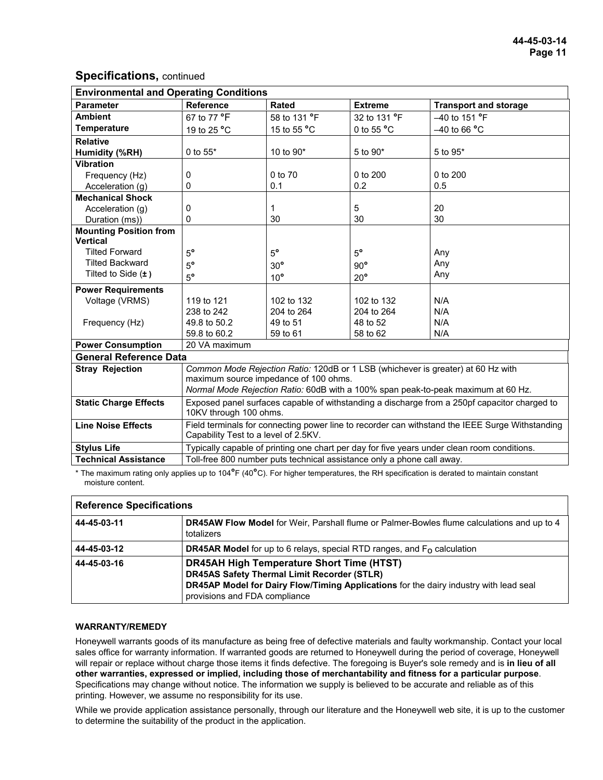| Reference<br><b>Parameter</b><br><b>Rated</b><br><b>Extreme</b><br><b>Transport and storage</b><br><b>Ambient</b><br>67 to 77 °F<br>58 to 131 °F<br>32 to 131 °F<br>-40 to 151 °F<br><b>Temperature</b><br>19 to 25 °C<br>15 to 55 °C<br>0 to 55 $^{\circ}$ C<br>-40 to 66 °C<br><b>Relative</b> |  |  |  |  |
|--------------------------------------------------------------------------------------------------------------------------------------------------------------------------------------------------------------------------------------------------------------------------------------------------|--|--|--|--|
|                                                                                                                                                                                                                                                                                                  |  |  |  |  |
|                                                                                                                                                                                                                                                                                                  |  |  |  |  |
|                                                                                                                                                                                                                                                                                                  |  |  |  |  |
|                                                                                                                                                                                                                                                                                                  |  |  |  |  |
| 0 to 55*<br>10 to 90*<br>5 to 90*<br>5 to 95*<br>Humidity (%RH)                                                                                                                                                                                                                                  |  |  |  |  |
| <b>Vibration</b>                                                                                                                                                                                                                                                                                 |  |  |  |  |
| 0 to 70<br>$0$ to $200$<br>0 to 200<br>Frequency (Hz)<br>0                                                                                                                                                                                                                                       |  |  |  |  |
| 0.1<br>0.2<br>0.5<br>0<br>Acceleration (q)                                                                                                                                                                                                                                                       |  |  |  |  |
| <b>Mechanical Shock</b>                                                                                                                                                                                                                                                                          |  |  |  |  |
| 5<br>$\mathbf 1$<br>20<br>Acceleration (g)<br>0                                                                                                                                                                                                                                                  |  |  |  |  |
| 30<br>0<br>30<br>30<br>Duration (ms))                                                                                                                                                                                                                                                            |  |  |  |  |
| <b>Mounting Position from</b>                                                                                                                                                                                                                                                                    |  |  |  |  |
| <b>Vertical</b><br><b>Tilted Forward</b>                                                                                                                                                                                                                                                         |  |  |  |  |
| $5^{\circ}$<br>$5^{\circ}$<br>$5^{\circ}$<br>Any<br><b>Tilted Backward</b>                                                                                                                                                                                                                       |  |  |  |  |
| Any<br>$5^{\circ}$<br>$90^{\circ}$<br>$30^\circ$<br>Tilted to Side $(\pm)$                                                                                                                                                                                                                       |  |  |  |  |
| Any<br>$5^{\circ}$<br>$10^{\circ}$<br>$20^{\circ}$                                                                                                                                                                                                                                               |  |  |  |  |
| <b>Power Requirements</b>                                                                                                                                                                                                                                                                        |  |  |  |  |
| N/A<br>Voltage (VRMS)<br>119 to 121<br>102 to 132<br>102 to 132                                                                                                                                                                                                                                  |  |  |  |  |
| 204 to 264<br>N/A<br>238 to 242<br>204 to 264                                                                                                                                                                                                                                                    |  |  |  |  |
| 48 to 52<br>N/A<br>Frequency (Hz)<br>49.8 to 50.2<br>49 to 51                                                                                                                                                                                                                                    |  |  |  |  |
| 59.8 to 60.2<br>59 to 61<br>58 to 62<br>N/A                                                                                                                                                                                                                                                      |  |  |  |  |
| <b>Power Consumption</b><br>20 VA maximum                                                                                                                                                                                                                                                        |  |  |  |  |
| <b>General Reference Data</b>                                                                                                                                                                                                                                                                    |  |  |  |  |
| Common Mode Rejection Ratio: 120dB or 1 LSB (whichever is greater) at 60 Hz with<br><b>Stray Rejection</b>                                                                                                                                                                                       |  |  |  |  |
| maximum source impedance of 100 ohms.                                                                                                                                                                                                                                                            |  |  |  |  |
| Normal Mode Rejection Ratio: 60dB with a 100% span peak-to-peak maximum at 60 Hz.                                                                                                                                                                                                                |  |  |  |  |
| Exposed panel surfaces capable of withstanding a discharge from a 250pf capacitor charged to<br><b>Static Charge Effects</b><br>10KV through 100 ohms.                                                                                                                                           |  |  |  |  |
| <b>Line Noise Effects</b><br>Field terminals for connecting power line to recorder can withstand the IEEE Surge Withstanding<br>Capability Test to a level of 2.5KV.                                                                                                                             |  |  |  |  |
| Typically capable of printing one chart per day for five years under clean room conditions.<br><b>Stylus Life</b>                                                                                                                                                                                |  |  |  |  |
| Toll-free 800 number puts technical assistance only a phone call away.<br><b>Technical Assistance</b>                                                                                                                                                                                            |  |  |  |  |

\* The maximum rating only applies up to 104**°**F (40**°**C). For higher temperatures, the RH specification is derated to maintain constant moisture content.

| <b>Reference Specifications</b> |                                                                                                                                                                                                                                  |  |
|---------------------------------|----------------------------------------------------------------------------------------------------------------------------------------------------------------------------------------------------------------------------------|--|
| 44-45-03-11                     | <b>DR45AW Flow Model for Weir, Parshall flume or Palmer-Bowles flume calculations and up to 4</b><br>totalizers                                                                                                                  |  |
| 44-45-03-12                     | <b>DR45AR Model</b> for up to 6 relays, special RTD ranges, and $F_0$ calculation                                                                                                                                                |  |
| 44-45-03-16                     | <b>DR45AH High Temperature Short Time (HTST)</b><br><b>DR45AS Safety Thermal Limit Recorder (STLR)</b><br>DR45AP Model for Dairy Flow/Timing Applications for the dairy industry with lead seal<br>provisions and FDA compliance |  |

#### **WARRANTY/REMEDY**

Honeywell warrants goods of its manufacture as being free of defective materials and faulty workmanship. Contact your local sales office for warranty information. If warranted goods are returned to Honeywell during the period of coverage, Honeywell will repair or replace without charge those items it finds defective. The foregoing is Buyer's sole remedy and is **in lieu of all other warranties, expressed or implied, including those of merchantability and fitness for a particular purpose**. Specifications may change without notice. The information we supply is believed to be accurate and reliable as of this printing. However, we assume no responsibility for its use.

While we provide application assistance personally, through our literature and the Honeywell web site, it is up to the customer to determine the suitability of the product in the application.